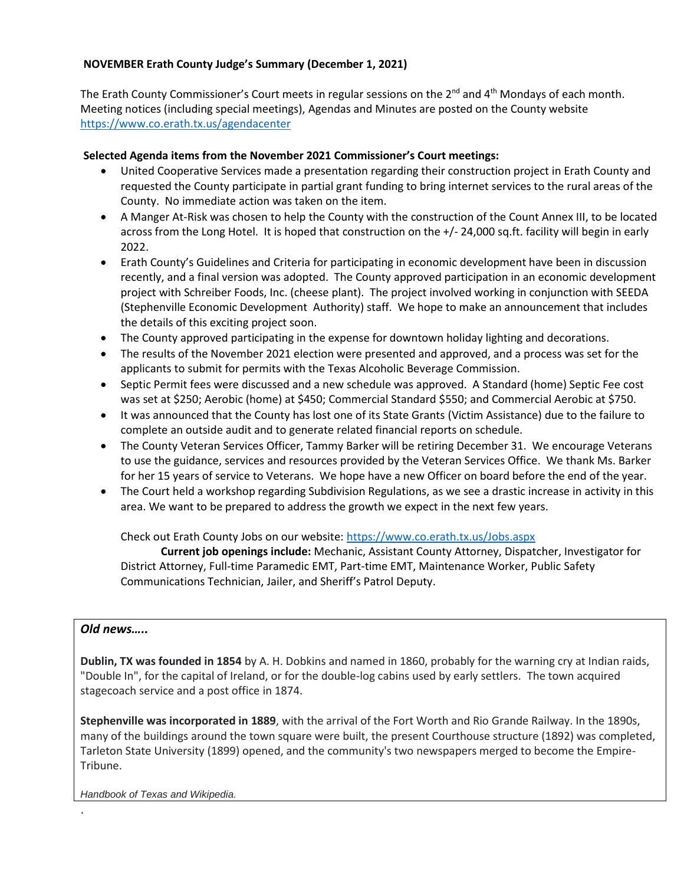## **NOVEMBER Erath County Judge's Summary (December 1, 2021)**

The Erath County Commissioner's Court meets in regular sessions on the  $2^{nd}$  and  $4^{th}$  Mondays of each month. Meeting notices (including special meetings), Agendas and Minutes are posted on the County website <https://www.co.erath.tx.us/agendacenter>

## **Selected Agenda items from the November 2021 Commissioner's Court meetings:**

- United Cooperative Services made a presentation regarding their construction project in Erath County and requested the County participate in partial grant funding to bring internet services to the rural areas of the County. No immediate action was taken on the item.
- A Manger At-Risk was chosen to help the County with the construction of the Count Annex III, to be located across from the Long Hotel. It is hoped that construction on the +/- 24,000 sq.ft. facility will begin in early 2022.
- Erath County's Guidelines and Criteria for participating in economic development have been in discussion recently, and a final version was adopted. The County approved participation in an economic development project with Schreiber Foods, Inc. (cheese plant). The project involved working in conjunction with SEEDA (Stephenville Economic Development Authority) staff. We hope to make an announcement that includes the details of this exciting project soon.
- The County approved participating in the expense for downtown holiday lighting and decorations.
- The results of the November 2021 election were presented and approved, and a process was set for the applicants to submit for permits with the Texas Alcoholic Beverage Commission.
- Septic Permit fees were discussed and a new schedule was approved. A Standard (home) Septic Fee cost was set at \$250; Aerobic (home) at \$450; Commercial Standard \$550; and Commercial Aerobic at \$750.
- It was announced that the County has lost one of its State Grants (Victim Assistance) due to the failure to complete an outside audit and to generate related financial reports on schedule.
- The County Veteran Services Officer, Tammy Barker will be retiring December 31. We encourage Veterans to use the guidance, services and resources provided by the Veteran Services Office. We thank Ms. Barker for her 15 years of service to Veterans. We hope have a new Officer on board before the end of the year.
- The Court held a workshop regarding Subdivision Regulations, as we see a drastic increase in activity in this area. We want to be prepared to address the growth we expect in the next few years.

Check out Erath County Jobs on our website:<https://www.co.erath.tx.us/Jobs.aspx>

**Current job openings include:** Mechanic, Assistant County Attorney, Dispatcher, Investigator for District Attorney, Full-time Paramedic EMT, Part-time EMT, Maintenance Worker, Public Safety Communications Technician, Jailer, and Sheriff's Patrol Deputy.

## *Old news…..*

.

**Dublin, TX was founded in 1854** by A. H. Dobkins and named in 1860, probably for the warning cry at Indian raids, "Double In", for the capital of Ireland, or for the double-log cabins used by early settlers. The town acquired stagecoach service and a post office in 1874.

**Stephenville was incorporated in 1889**, with the arrival of the Fort Worth and Rio Grande Railway. In the 1890s, many of the buildings around the town square were built, the present Courthouse structure (1892) was completed, Tarleton State University (1899) opened, and the community's two newspapers merged to become the Empire-Tribune.

*Handbook of Texas and Wikipedia.*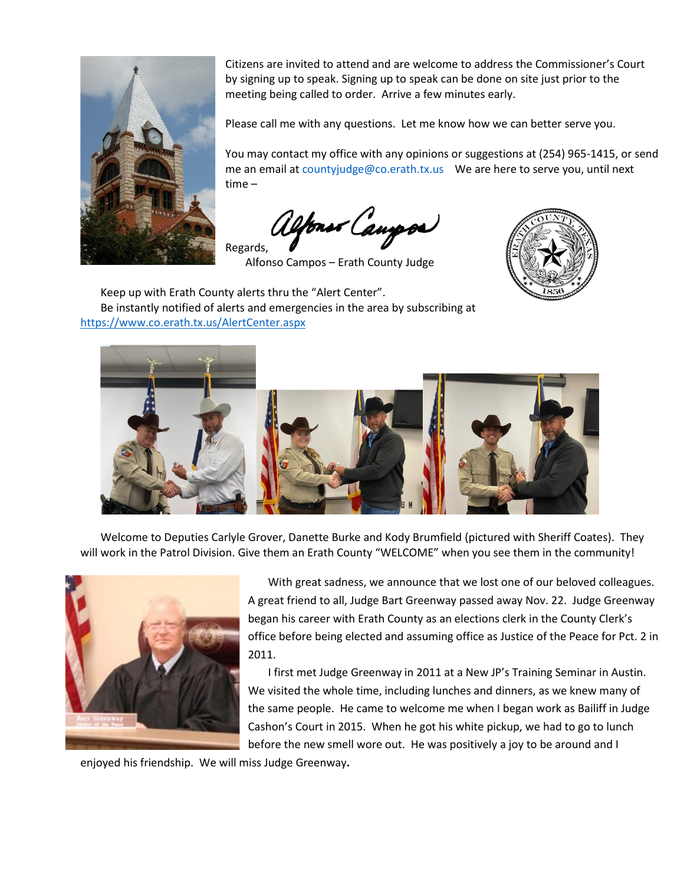

Citizens are invited to attend and are welcome to address the Commissioner's Court by signing up to speak. Signing up to speak can be done on site just prior to the meeting being called to order. Arrive a few minutes early.

Please call me with any questions. Let me know how we can better serve you.

You may contact my office with any opinions or suggestions at (254) 965-1415, or send me an email at countyjudge@co.erath.tx.us We are here to serve you, until next time –

Your Campor Regards,

Alfonso Campos – Erath County Judge

Keep up with Erath County alerts thru the "Alert Center". Be instantly notified of alerts and emergencies in the area by subscribing at <https://www.co.erath.tx.us/AlertCenter.aspx>





Welcome to Deputies Carlyle Grover, Danette Burke and Kody Brumfield (pictured with Sheriff Coates). They will work in the Patrol Division. Give them an Erath County "WELCOME" when you see them in the community!



With great sadness, we announce that we lost one of our beloved colleagues. A great friend to all, Judge Bart Greenway passed away Nov. 22. Judge Greenway began his career with Erath County as an elections clerk in the County Clerk's office before being elected and assuming office as Justice of the Peace for Pct. 2 in 2011.

I first met Judge Greenway in 2011 at a New JP's Training Seminar in Austin. We visited the whole time, including lunches and dinners, as we knew many of the same people. He came to welcome me when I began work as Bailiff in Judge Cashon's Court in 2015. When he got his white pickup, we had to go to lunch before the new smell wore out. He was positively a joy to be around and I

enjoyed his friendship. We will miss Judge Greenway**.**